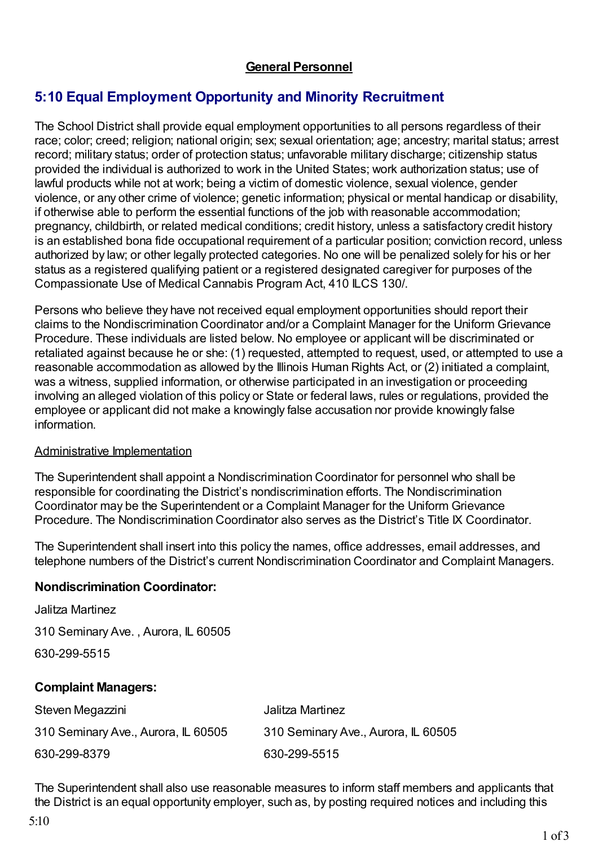## **General Personnel**

# **5:10 Equal Employment Opportunity and Minority Recruitment**

The School District shall provide equal employment opportunities to all persons regardless of their race; color; creed; religion; national origin; sex; sexual orientation; age; ancestry; marital status; arrest record; military status; order of protection status; unfavorable military discharge; citizenship status provided the individual is authorized to work in the United States; work authorization status; use of lawful products while not at work; being a victim of domestic violence, sexual violence, gender violence, or any other crime of violence; genetic information; physical or mental handicap or disability, if otherwise able to perform the essential functions of the job with reasonable accommodation; pregnancy, childbirth, or related medical conditions; credit history, unless a satisfactory credit history is an established bona fide occupational requirement of a particular position; conviction record, unless authorized by law; or other legally protected categories. No one will be penalized solely for his or her status as a registered qualifying patient or a registered designated caregiver for purposes of the Compassionate Use of Medical Cannabis Program Act, 410 ILCS 130/.

Persons who believe they have not received equal employment opportunities should report their claims to the Nondiscrimination Coordinator and/or a Complaint Manager for the Uniform Grievance Procedure. These individuals are listed below. No employee or applicant will be discriminated or retaliated against because he or she: (1) requested, attempted to request, used, or attempted to use a reasonable accommodation as allowed by the Illinois Human Rights Act, or (2) initiated a complaint, was a witness, supplied information, or otherwise participated in an investigation or proceeding involving an alleged violation of this policy or State or federal laws, rules or regulations, provided the employee or applicant did not make a knowingly false accusation nor provide knowingly false information.

#### Administrative Implementation

The Superintendent shall appoint a Nondiscrimination Coordinator for personnel who shall be responsible for coordinating the District's nondiscrimination efforts. The Nondiscrimination Coordinator may be the Superintendent or a Complaint Manager for the Uniform Grievance Procedure. The Nondiscrimination Coordinator also serves as the District's Title IX Coordinator.

The Superintendent shall insert into this policy the names, office addresses, email addresses, and telephone numbers of the District's current Nondiscrimination Coordinator and Complaint Managers.

#### **Nondiscrimination Coordinator:**

| Jalitza Martinez                    |                                     |
|-------------------------------------|-------------------------------------|
| 310 Seminary Ave., Aurora, IL 60505 |                                     |
| 630-299-5515                        |                                     |
| <b>Complaint Managers:</b>          |                                     |
| Steven Megazzini                    | Jalitza Martinez                    |
| 310 Seminary Ave., Aurora, IL 60505 | 310 Seminary Ave., Aurora, IL 60505 |

630-299-8379 630-299-5515

The Superintendent shall also use reasonable measures to inform staff members and applicants that the District is an equal opportunity employer, such as, by posting required notices and including this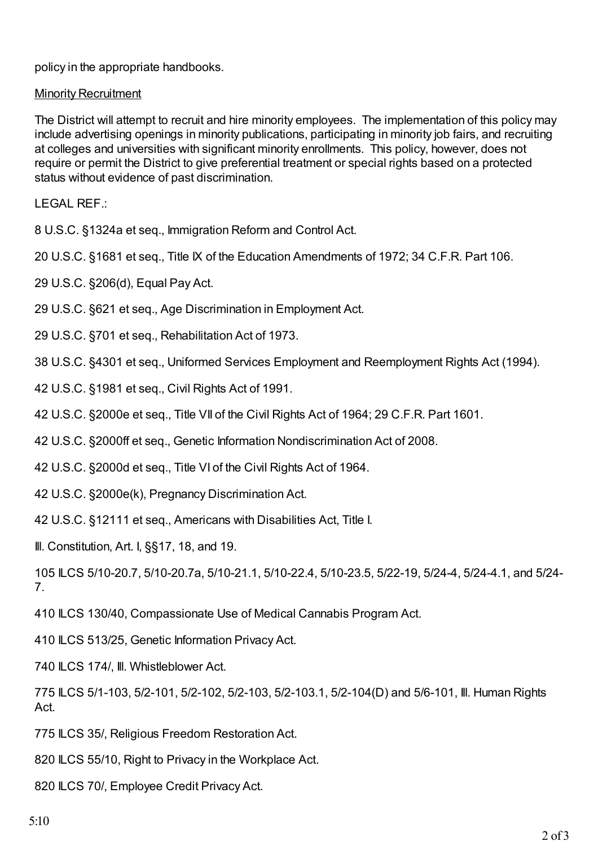policy in the appropriate handbooks.

### Minority Recruitment

The District will attempt to recruit and hire minority employees. The implementation of this policy may include advertising openings in minority publications, participating in minority job fairs, and recruiting at colleges and universities with significant minority enrollments. This policy, however, does not require or permit the District to give preferential treatment or special rights based on a protected status without evidence of past discrimination.

LEGAL REF.:

8 U.S.C. §1324a et seq., Immigration Reform and Control Act.

20 U.S.C. §1681 et seq., Title IX of the Education Amendments of 1972; 34 C.F.R. Part 106.

29 U.S.C. §206(d), Equal Pay Act.

29 U.S.C. §621 et seq., Age Discrimination in Employment Act.

29 U.S.C. §701 et seq., Rehabilitation Act of 1973.

38 U.S.C. §4301 et seq., Uniformed Services Employment and Reemployment Rights Act (1994).

42 U.S.C. §1981 et seq., Civil Rights Act of 1991.

42 U.S.C. §2000e et seq., Title VII of the Civil Rights Act of 1964; 29 C.F.R. Part 1601.

42 U.S.C. §2000ff et seq., Genetic Information Nondiscrimination Act of 2008.

42 U.S.C. §2000d et seq., Title VI of the Civil Rights Act of 1964.

42 U.S.C. §2000e(k), Pregnancy Discrimination Act.

42 U.S.C. §12111 et seq., Americans with Disabilities Act, Title I.

Ill. Constitution, Art. I, §§17, 18, and 19.

105 ILCS 5/10-20.7, 5/10-20.7a, 5/10-21.1, 5/10-22.4, 5/10-23.5, 5/22-19, 5/24-4, 5/24-4.1, and 5/24- 7.

410 ILCS 130/40, Compassionate Use of Medical Cannabis Program Act.

410 ILCS 513/25, Genetic Information Privacy Act.

740 ILCS 174/, Ill. Whistleblower Act.

775 ILCS 5/1-103, 5/2-101, 5/2-102, 5/2-103, 5/2-103.1, 5/2-104(D) and 5/6-101, Ill. Human Rights Act.

775 ILCS 35/, Religious Freedom Restoration Act.

820 ILCS 55/10, Right to Privacy in the Workplace Act.

820 ILCS 70/. Employee Credit Privacy Act.